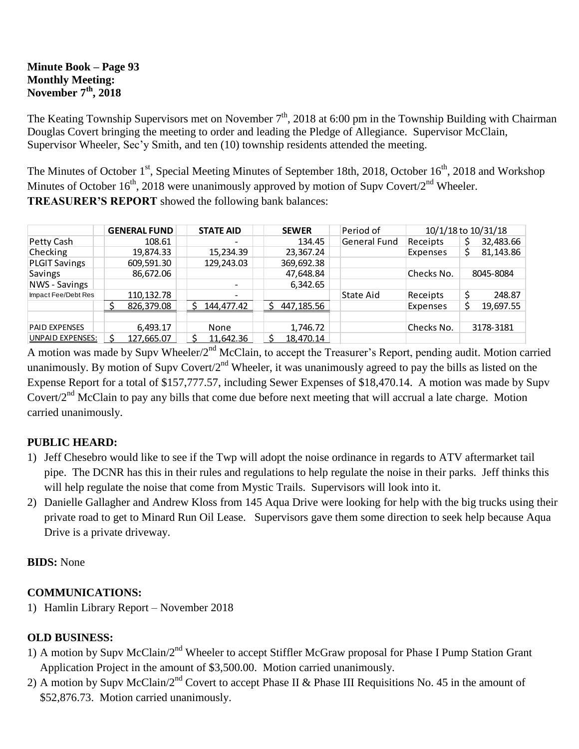#### **Minute Book – Page 93 Monthly Meeting: November 7th, 2018**

The Keating Township Supervisors met on November  $7<sup>th</sup>$ , 2018 at 6:00 pm in the Township Building with Chairman Douglas Covert bringing the meeting to order and leading the Pledge of Allegiance. Supervisor McClain, Supervisor Wheeler, Sec'y Smith, and ten (10) township residents attended the meeting.

The Minutes of October 1<sup>st</sup>, Special Meeting Minutes of September 18th, 2018, October 16<sup>th</sup>, 2018 and Workshop Minutes of October  $16^{th}$ , 2018 were unanimously approved by motion of Supv Covert/2<sup>nd</sup> Wheeler. **TREASURER'S REPORT** showed the following bank balances:

|                      | <b>GENERAL FUND</b> | <b>STATE AID</b>         | <b>SEWER</b> | Period of    | 10/1/18 to 10/31/18 |           |           |
|----------------------|---------------------|--------------------------|--------------|--------------|---------------------|-----------|-----------|
| Petty Cash           | 108.61              | $\overline{\phantom{0}}$ | 134.45       | General Fund | Receipts            |           | 32,483.66 |
| Checking             | 19,874.33           | 15,234.39                | 23,367.24    |              | Expenses            |           | 81,143.86 |
| <b>PLGIT Savings</b> | 609,591.30          | 129,243.03               | 369,692.38   |              |                     |           |           |
| Savings              | 86,672.06           |                          | 47,648.84    |              | Checks No.          | 8045-8084 |           |
| NWS - Savings        |                     | $\overline{\phantom{a}}$ | 6,342.65     |              |                     |           |           |
| Impact Fee/Debt Res  | 110,132.78          |                          |              | State Aid    | Receipts            |           | 248.87    |
|                      | 826,379.08          | 144,477.42               | 447,185.56   |              | Expenses            |           | 19,697.55 |
|                      |                     |                          |              |              |                     |           |           |
| <b>PAID EXPENSES</b> | 6,493.17            | None                     | 1,746.72     |              | Checks No.          |           | 3178-3181 |
| UNPAID EXPENSES:     | 127,665.07          | 11,642.36                | 18.470.14    |              |                     |           |           |

A motion was made by Supv Wheeler/2<sup>nd</sup> McClain, to accept the Treasurer's Report, pending audit. Motion carried unanimously. By motion of Supv Covert/ $2<sup>nd</sup>$  Wheeler, it was unanimously agreed to pay the bills as listed on the Expense Report for a total of \$157,777.57, including Sewer Expenses of \$18,470.14. A motion was made by Supv Covert/ $2<sup>nd</sup>$  McClain to pay any bills that come due before next meeting that will accrual a late charge. Motion carried unanimously.

# **PUBLIC HEARD:**

- 1) Jeff Chesebro would like to see if the Twp will adopt the noise ordinance in regards to ATV aftermarket tail pipe. The DCNR has this in their rules and regulations to help regulate the noise in their parks. Jeff thinks this will help regulate the noise that come from Mystic Trails. Supervisors will look into it.
- 2) Danielle Gallagher and Andrew Kloss from 145 Aqua Drive were looking for help with the big trucks using their private road to get to Minard Run Oil Lease. Supervisors gave them some direction to seek help because Aqua Drive is a private driveway.

#### **BIDS:** None

# **COMMUNICATIONS:**

1) Hamlin Library Report – November 2018

# **OLD BUSINESS:**

- 1) A motion by Supv McClain/2<sup>nd</sup> Wheeler to accept Stiffler McGraw proposal for Phase I Pump Station Grant Application Project in the amount of \$3,500.00. Motion carried unanimously.
- 2) A motion by Supy McClain/ $2<sup>nd</sup>$  Covert to accept Phase II & Phase III Requisitions No. 45 in the amount of \$52,876.73. Motion carried unanimously.